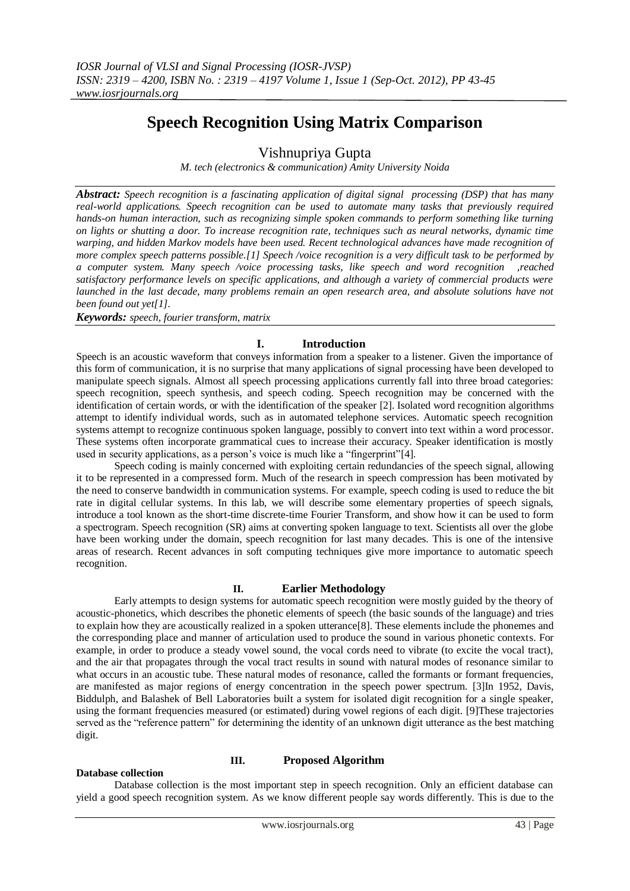# **Speech Recognition Using Matrix Comparison**

## Vishnupriya Gupta

*M. tech (electronics & communication) Amity University Noida*

*Abstract: Speech recognition is a fascinating application of digital signal processing (DSP) that has many real-world applications. Speech recognition can be used to automate many tasks that previously required hands-on human interaction, such as recognizing simple spoken commands to perform something like turning on lights or shutting a door. To increase recognition rate, techniques such as neural networks, dynamic time warping, and hidden Markov models have been used. Recent technological advances have made recognition of more complex speech patterns possible.[1] Speech /voice recognition is a very difficult task to be performed by a computer system. Many speech /voice processing tasks, like speech and word recognition ,reached satisfactory performance levels on specific applications, and although a variety of commercial products were launched in the last decade, many problems remain an open research area, and absolute solutions have not been found out yet[1].*

*Keywords: speech, fourier transform, matrix*

## **I. Introduction**

Speech is an acoustic waveform that conveys information from a speaker to a listener. Given the importance of this form of communication, it is no surprise that many applications of signal processing have been developed to manipulate speech signals. Almost all speech processing applications currently fall into three broad categories: speech recognition, speech synthesis, and speech coding. Speech recognition may be concerned with the identification of certain words, or with the identification of the speaker [2]. Isolated word recognition algorithms attempt to identify individual words, such as in automated telephone services. Automatic speech recognition systems attempt to recognize continuous spoken language, possibly to convert into text within a word processor. These systems often incorporate grammatical cues to increase their accuracy. Speaker identification is mostly used in security applications, as a person's voice is much like a "fingerprint"[4].

Speech coding is mainly concerned with exploiting certain redundancies of the speech signal, allowing it to be represented in a compressed form. Much of the research in speech compression has been motivated by the need to conserve bandwidth in communication systems. For example, speech coding is used to reduce the bit rate in digital cellular systems. In this lab, we will describe some elementary properties of speech signals, introduce a tool known as the short-time discrete-time Fourier Transform, and show how it can be used to form a spectrogram. Speech recognition (SR) aims at converting spoken language to text. Scientists all over the globe have been working under the domain, speech recognition for last many decades. This is one of the intensive areas of research. Recent advances in soft computing techniques give more importance to automatic speech recognition.

## **II. Earlier Methodology**

Early attempts to design systems for automatic speech recognition were mostly guided by the theory of acoustic-phonetics, which describes the phonetic elements of speech (the basic sounds of the language) and tries to explain how they are acoustically realized in a spoken utterance[8]. These elements include the phonemes and the corresponding place and manner of articulation used to produce the sound in various phonetic contexts. For example, in order to produce a steady vowel sound, the vocal cords need to vibrate (to excite the vocal tract), and the air that propagates through the vocal tract results in sound with natural modes of resonance similar to what occurs in an acoustic tube. These natural modes of resonance, called the formants or formant frequencies, are manifested as major regions of energy concentration in the speech power spectrum. [3]In 1952, Davis, Biddulph, and Balashek of Bell Laboratories built a system for isolated digit recognition for a single speaker, using the formant frequencies measured (or estimated) during vowel regions of each digit. [9]These trajectories served as the "reference pattern" for determining the identity of an unknown digit utterance as the best matching digit.

## **III. Proposed Algorithm**

## **Database collection**

Database collection is the most important step in speech recognition. Only an efficient database can yield a good speech recognition system. As we know different people say words differently. This is due to the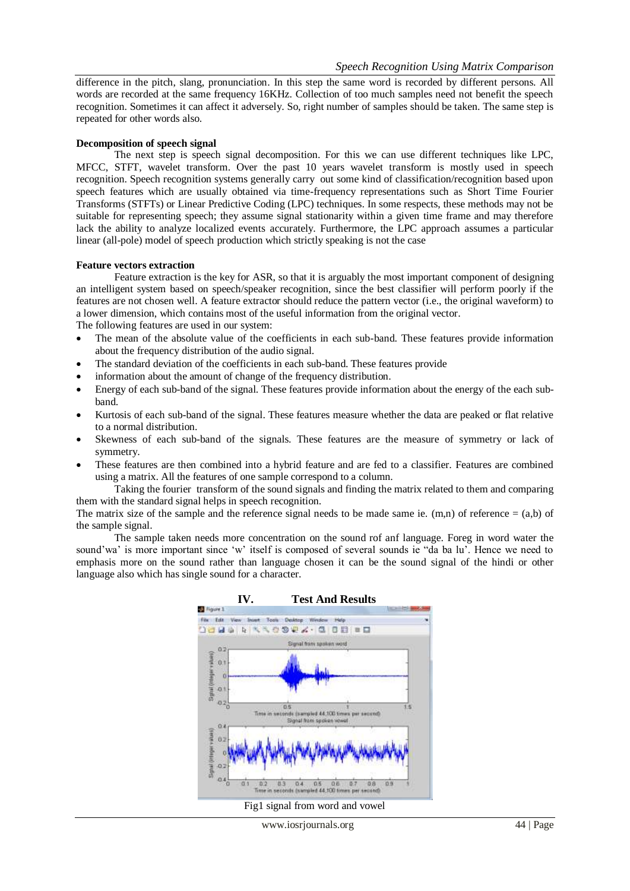difference in the pitch, slang, pronunciation. In this step the same word is recorded by different persons. All words are recorded at the same frequency 16KHz. Collection of too much samples need not benefit the speech recognition. Sometimes it can affect it adversely. So, right number of samples should be taken. The same step is repeated for other words also.

#### **Decomposition of speech signal**

The next step is speech signal decomposition. For this we can use different techniques like LPC, MFCC, STFT, wavelet transform. Over the past 10 years wavelet transform is mostly used in speech recognition. Speech recognition systems generally carry out some kind of classification/recognition based upon speech features which are usually obtained via time-frequency representations such as Short Time Fourier Transforms (STFTs) or Linear Predictive Coding (LPC) techniques. In some respects, these methods may not be suitable for representing speech; they assume signal stationarity within a given time frame and may therefore lack the ability to analyze localized events accurately. Furthermore, the LPC approach assumes a particular linear (all-pole) model of speech production which strictly speaking is not the case

#### **Feature vectors extraction**

Feature extraction is the key for ASR, so that it is arguably the most important component of designing an intelligent system based on speech/speaker recognition, since the best classifier will perform poorly if the features are not chosen well. A feature extractor should reduce the pattern vector (i.e., the original waveform) to a lower dimension, which contains most of the useful information from the original vector.

The following features are used in our system:

- The mean of the absolute value of the coefficients in each sub-band. These features provide information about the frequency distribution of the audio signal.
- The standard deviation of the coefficients in each sub-band. These features provide
- information about the amount of change of the frequency distribution.
- Energy of each sub-band of the signal. These features provide information about the energy of the each subband.
- Kurtosis of each sub-band of the signal. These features measure whether the data are peaked or flat relative to a normal distribution.
- Skewness of each sub-band of the signals. These features are the measure of symmetry or lack of symmetry.
- These features are then combined into a hybrid feature and are fed to a classifier. Features are combined using a matrix. All the features of one sample correspond to a column.

Taking the fourier transform of the sound signals and finding the matrix related to them and comparing them with the standard signal helps in speech recognition.

The matrix size of the sample and the reference signal needs to be made same ie.  $(m,n)$  of reference =  $(a,b)$  of the sample signal.

The sample taken needs more concentration on the sound rof anf language. Foreg in word water the sound'wa' is more important since 'w' itself is composed of several sounds ie "da ba lu'. Hence we need to emphasis more on the sound rather than language chosen it can be the sound signal of the hindi or other language also which has single sound for a character.



Fig1 signal from word and vowel